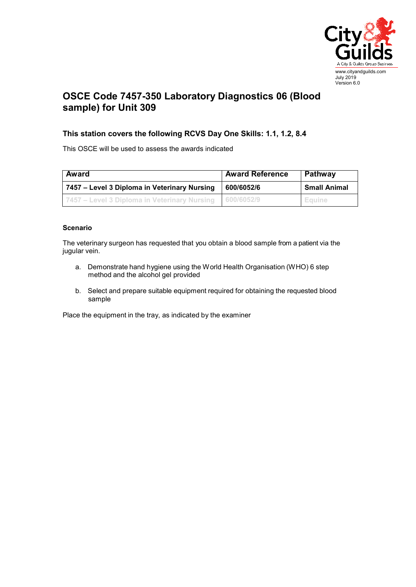

## **OSCE Code 7457-350 Laboratory Diagnostics 06 (Blood sample) for Unit 309**

## **This station covers the following RCVS Day One Skills: 1.1, 1.2, 8.4**

This OSCE will be used to assess the awards indicated

| Award                                                       | <b>Award Reference</b> | Pathway             |
|-------------------------------------------------------------|------------------------|---------------------|
| 7457 – Level 3 Diploma in Veterinary Nursing                | 600/6052/6             | <b>Small Animal</b> |
| 1 7457 – Level 3 Diploma in Veterinary Nursing 1 600/6052/9 |                        | I Equine            |

## **Scenario**

The veterinary surgeon has requested that you obtain a blood sample from a patient via the jugular vein.

- a. Demonstrate hand hygiene using the World Health Organisation (WHO) 6 step method and the alcohol gel provided
- b. Select and prepare suitable equipment required for obtaining the requested blood sample

Place the equipment in the tray, as indicated by the examiner